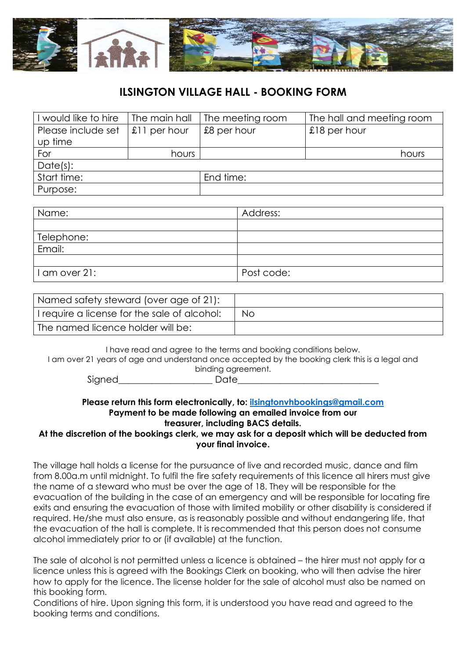

| I would like to hire | The main hall  | The meeting room | The hall and meeting room |
|----------------------|----------------|------------------|---------------------------|
| Please include set   | $£11$ per hour | £8 per hour      | £18 per hour              |
| up time              |                |                  |                           |
| For                  | hours          |                  | hours                     |
| Date(s):             |                |                  |                           |
| Start time:          |                | End time:        |                           |
| Purpose:             |                |                  |                           |

| Name:         | Address:   |
|---------------|------------|
|               |            |
| Telephone:    |            |
| Email:        |            |
|               |            |
| I am over 21: | Post code: |

| Named safety steward (over age of 21):       |     |
|----------------------------------------------|-----|
| I require a license for the sale of alcohol: | No. |
| ' The named licence holder will be:          |     |

I have read and agree to the terms and booking conditions below. I am over 21 years of age and understand once accepted by the booking clerk this is a legal and binding agreement.

Signed Date

#### **Please return this form electronically, to: [ilsingtonvhbookings@gmail.com](mailto:ilsingtonvhbookings@gmail.com) Payment to be made following an emailed invoice from our treasurer, including BACS details.**

#### **At the discretion of the bookings clerk, we may ask for a deposit which will be deducted from your final invoice.**

The village hall holds a license for the pursuance of live and recorded music, dance and film from 8.00a.m until midnight. To fulfil the fire safety requirements of this licence all hirers must give the name of a steward who must be over the age of 18. They will be responsible for the evacuation of the building in the case of an emergency and will be responsible for locating fire exits and ensuring the evacuation of those with limited mobility or other disability is considered if required. He/she must also ensure, as is reasonably possible and without endangering life, that the evacuation of the hall is complete. It is recommended that this person does not consume alcohol immediately prior to or (if available) at the function.

The sale of alcohol is not permitted unless a licence is obtained – the hirer must not apply for a licence unless this is agreed with the Bookings Clerk on booking, who will then advise the hirer how to apply for the licence. The license holder for the sale of alcohol must also be named on this booking form.

Conditions of hire. Upon signing this form, it is understood you have read and agreed to the booking terms and conditions.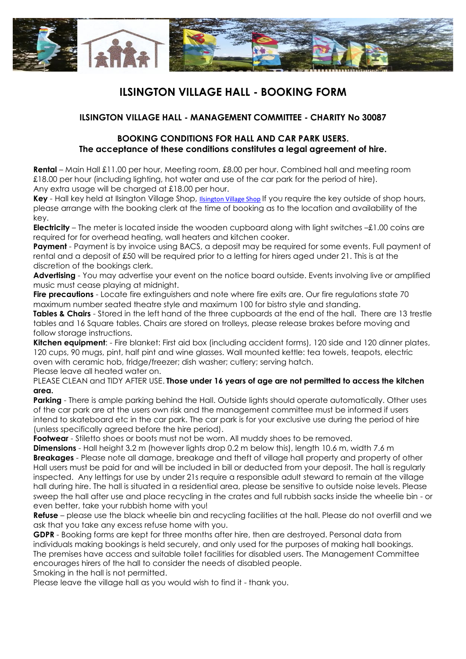

### **ILSINGTON VILLAGE HALL - MANAGEMENT COMMITTEE - CHARITY No 30087**

#### **BOOKING CONDITIONS FOR HALL AND CAR PARK USERS. The acceptance of these conditions constitutes a legal agreement of hire.**

**Rental** – Main Hall £11.00 per hour, Meeting room, £8.00 per hour. Combined hall and meeting room £18.00 per hour (including lighting, hot water and use of the car park for the period of hire). Any extra usage will be charged at £18.00 per hour.

**Key** - Hall key held at Ilsington Village Shop, [Ilsington Village Shop](http://www.ilsingtonvillageshop.co.uk/) If you require the key outside of shop hours, please arrange with the booking clerk at the time of booking as to the location and availability of the key.

**Electricity** – The meter is located inside the wooden cupboard along with light switches –£1.00 coins are required for for overhead heating, wall heaters and kitchen cooker.

**Payment** - Payment is by invoice using BACS, a deposit may be required for some events. Full payment of rental and a deposit of £50 will be required prior to a letting for hirers aged under 21. This is at the discretion of the bookings clerk.

**Advertising** - You may advertise your event on the notice board outside. Events involving live or amplified music must cease playing at midnight.

**Fire precautions** - Locate fire extinguishers and note where fire exits are. Our fire regulations state 70 maximum number seated theatre style and maximum 100 for bistro style and standing.

**Tables & Chairs** - Stored in the left hand of the three cupboards at the end of the hall. There are 13 trestle tables and 16 Square tables. Chairs are stored on trolleys, please release brakes before moving and follow storage instructions.

**Kitchen equipment**: - Fire blanket: First aid box (including accident forms), 120 side and 120 dinner plates, 120 cups, 90 mugs, pint, half pint and wine glasses. Wall mounted kettle: tea towels, teapots, electric oven with ceramic hob, fridge/freezer; dish washer; cutlery; serving hatch. Please leave all heated water on.

PLEASE CLEAN and TIDY AFTER USE. **Those under 16 years of age are not permitted to access the kitchen area.**

**Parking** - There is ample parking behind the Hall. Outside lights should operate automatically. Other uses of the car park are at the users own risk and the management committee must be informed if users intend to skateboard etc in the car park. The car park is for your exclusive use during the period of hire (unless specifically agreed before the hire period).

**Footwear** - Stiletto shoes or boots must not be worn. All muddy shoes to be removed.

**Dimensions** - Hall height 3.2 m (however lights drop 0.2 m below this), length 10.6 m, width 7.6 m **Breakages** - Please note all damage, breakage and theft of village hall property and property of other Hall users must be paid for and will be included in bill or deducted from your deposit. The hall is regularly inspected. Any lettings for use by under 21s require a responsible adult steward to remain at the village hall during hire. The hall is situated in a residential area, please be sensitive to outside noise levels. Please sweep the hall after use and place recycling in the crates and full rubbish sacks inside the wheelie bin - or even better, take your rubbish home with you!

**Refuse** – please use the black wheelie bin and recycling facilities at the hall. Please do not overfill and we ask that you take any excess refuse home with you.

**GDPR** - Booking forms are kept for three months after hire, then are destroyed. Personal data from individuals making bookings is held securely, and only used for the purposes of making hall bookings. The premises have access and suitable toilet facilities for disabled users. The Management Committee encourages hirers of the hall to consider the needs of disabled people.

Smoking in the hall is not permitted.

Please leave the village hall as you would wish to find it - thank you.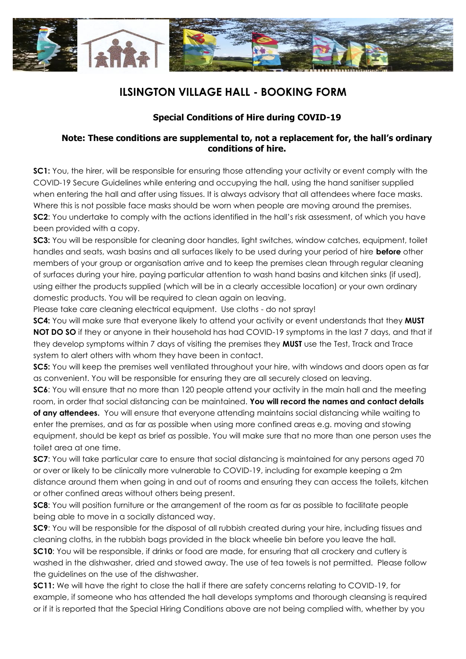

### **Special Conditions of Hire during COVID-19**

#### **Note: These conditions are supplemental to, not a replacement for, the hall's ordinary conditions of hire.**

**SC1:** You, the hirer, will be responsible for ensuring those attending your activity or event comply with the COVID-19 Secure Guidelines while entering and occupying the hall, using the hand sanitiser supplied when entering the hall and after using tissues. It is always advisory that all attendees where face masks. Where this is not possible face masks should be worn when people are moving around the premises. **SC2:** You undertake to comply with the actions identified in the hall's risk assessment, of which you have been provided with a copy.

**SC3:** You will be responsible for cleaning door handles, light switches, window catches, equipment, toilet handles and seats, wash basins and all surfaces likely to be used during your period of hire **before** other members of your group or organisation arrive and to keep the premises clean through regular cleaning of surfaces during your hire, paying particular attention to wash hand basins and kitchen sinks (if used), using either the products supplied (which will be in a clearly accessible location) or your own ordinary domestic products. You will be required to clean again on leaving.

Please take care cleaning electrical equipment. Use cloths - do not spray!

**SC4:** You will make sure that everyone likely to attend your activity or event understands that they **MUST NOT DO SO** if they or anyone in their household has had COVID-19 symptoms in the last 7 days, and that if they develop symptoms within 7 days of visiting the premises they **MUST** use the Test, Track and Trace system to alert others with whom they have been in contact.

**SC5:** You will keep the premises well ventilated throughout your hire, with windows and doors open as far as convenient. You will be responsible for ensuring they are all securely closed on leaving.

**SC6:** You will ensure that no more than 120 people attend your activity in the main hall and the meeting room, in order that social distancing can be maintained. **You will record the names and contact details of any attendees.** You will ensure that everyone attending maintains social distancing while waiting to

enter the premises, and as far as possible when using more confined areas e.g. moving and stowing equipment, should be kept as brief as possible. You will make sure that no more than one person uses the toilet area at one time.

**SC7:** You will take particular care to ensure that social distancing is maintained for any persons aged 70 or over or likely to be clinically more vulnerable to COVID-19, including for example keeping a 2m distance around them when going in and out of rooms and ensuring they can access the toilets, kitchen or other confined areas without others being present.

**SC8:** You will position furniture or the arrangement of the room as far as possible to facilitate people being able to move in a socially distanced way.

**SC9:** You will be responsible for the disposal of all rubbish created during your hire, including tissues and cleaning cloths, in the rubbish bags provided in the black wheelie bin before you leave the hall.

**SC10**: You will be responsible, if drinks or food are made, for ensuring that all crockery and cutlery is washed in the dishwasher, dried and stowed away. The use of tea towels is not permitted. Please follow the guidelines on the use of the dishwasher.

**SC11:** We will have the right to close the hall if there are safety concerns relating to COVID-19, for example, if someone who has attended the hall develops symptoms and thorough cleansing is required or if it is reported that the Special Hiring Conditions above are not being complied with, whether by you